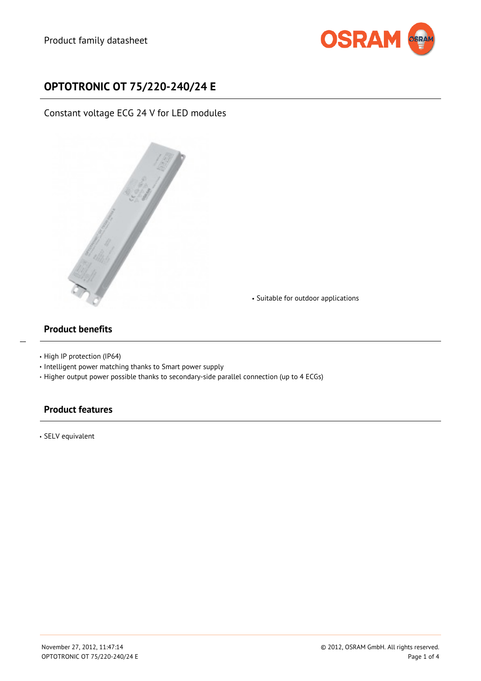

# **OPTOTRONIC OT 75/220-240/24 E**

Constant voltage ECG 24 V for LED modules



Suitable for outdoor applications

#### **Product benefits**

 $\overline{a}$ 

- High IP protection (IP64)
- $\cdot$  Intelligent power matching thanks to Smart power supply
- Higher output power possible thanks to secondary-side parallel connection (up to 4 ECGs)

## **Product features**

SELV equivalent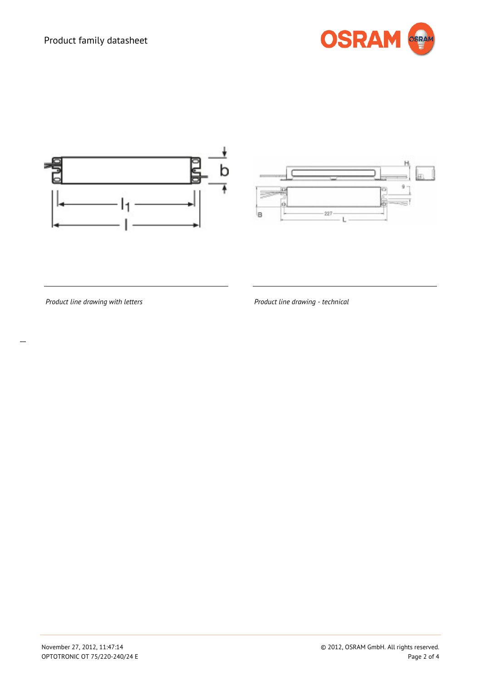# Product family datasheet







*Product line drawing with letters*

*Product line drawing - technical*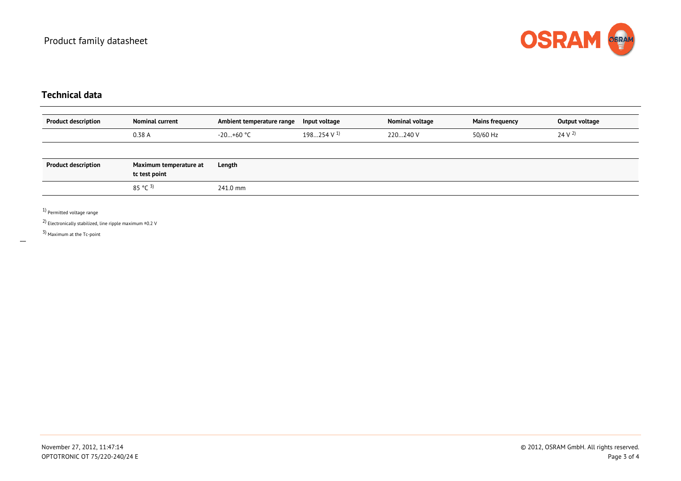

## **Technical data**

| <b>Product description</b> | <b>Nominal current</b>                  | Ambient temperature range | Input voltage            | Nominal voltage | <b>Mains frequency</b> | Output voltage    |
|----------------------------|-----------------------------------------|---------------------------|--------------------------|-----------------|------------------------|-------------------|
|                            | 0.38 A                                  | -20…+60 °C                | $198254$ V $^{\text{1}}$ | 220240 V        | 50/60 Hz               | 24 V <sup>2</sup> |
|                            |                                         |                           |                          |                 |                        |                   |
| <b>Product description</b> | Maximum temperature at<br>tc test point | Length                    |                          |                 |                        |                   |
|                            | 85 °C $^{3)}$                           | 241.0 mm                  |                          |                 |                        |                   |

1) Permitted voltage range

 $^{(2)}$  Electronically stabilized, line ripple maximum ±0.2 V

3) Maximum at the Tc-point